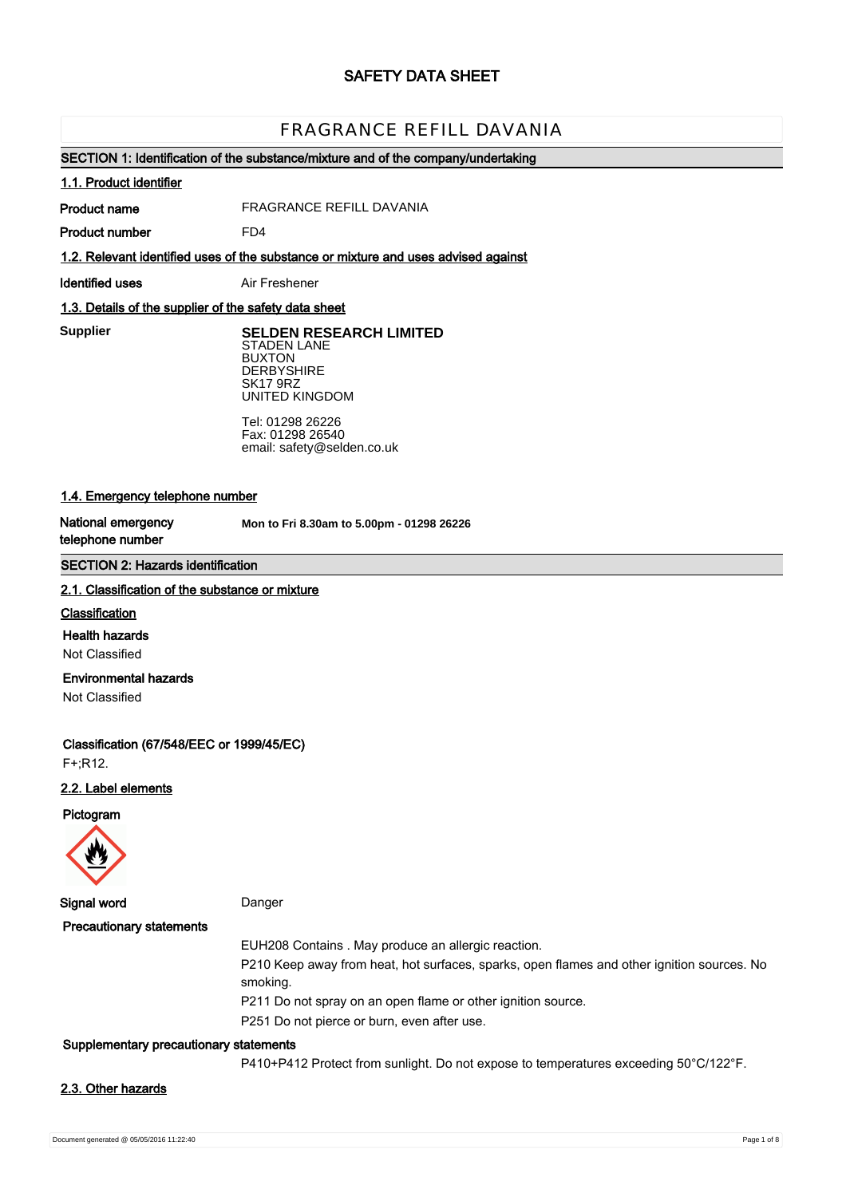# **SAFETY DATA SHEET**

# FRAGRANCE REFILL DAVANIA

# **SECTION 1: Identification of the substance/mixture and of the company/undertaking**

#### **1.1. Product identifier**

**Product name**

FRAGRANCE REFILL DAVANIA

**Product number**

**1.2. Relevant identified uses of the substance or mixture and uses advised against**

**Identified uses** Air Freshener

FD4

## **1.3. Details of the supplier of the safety data sheet**

**Supplier** 

**SELDEN RESEARCH LIMITED** STADEN LANE BUXTON **DERBYSHIRE** SK17 9RZ UNITED KINGDOM

Tel: 01298 26226 Fax: 01298 26540 email: safety@selden.co.uk

# **1.4. Emergency telephone number**

**National emergency telephone number**

**Mon to Fri 8.30am to 5.00pm - 01298 26226**

# **SECTION 2: Hazards identification**

#### **2.1. Classification of the substance or mixture**

### **Classification**

**Health hazards**

Not Classified

# **Environmental hazards**

Not Classified

**Classification (67/548/EEC or 1999/45/EC)**

F+;R12.

# **2.2. Label elements**

#### **Pictogram**



**Signal word** Danger

| <b>Precautionary statements</b> |                                                                                                        |
|---------------------------------|--------------------------------------------------------------------------------------------------------|
|                                 | EUH208 Contains . May produce an allergic reaction.                                                    |
|                                 | P210 Keep away from heat, hot surfaces, sparks, open flames and other ignition sources. No<br>smoking. |
|                                 | P211 Do not spray on an open flame or other ignition source.                                           |
|                                 | P251 Do not pierce or burn, even after use.                                                            |
|                                 |                                                                                                        |

#### **Supplementary precautionary statements**

P410+P412 Protect from sunlight. Do not expose to temperatures exceeding 50°C/122°F.

#### **2.3. Other hazards**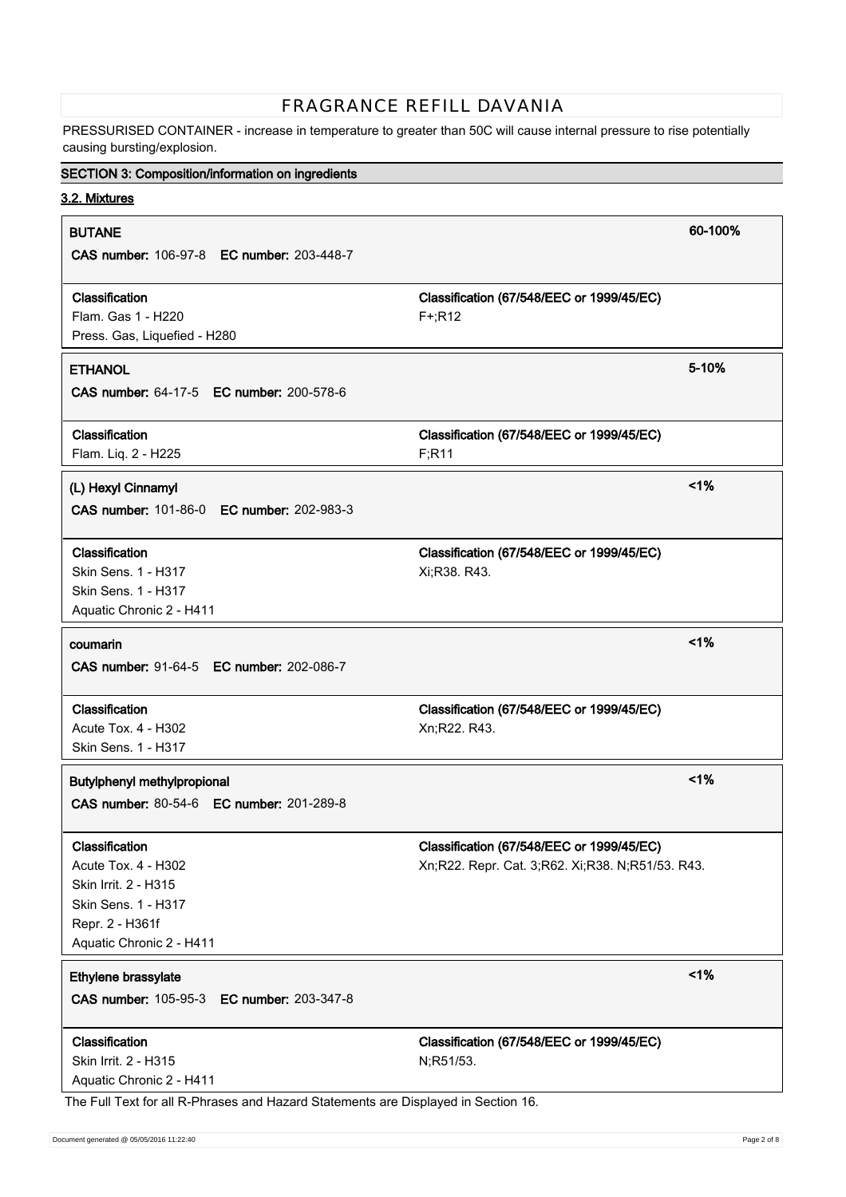PRESSURISED CONTAINER - increase in temperature to greater than 50C will cause internal pressure to rise potentially causing bursting/explosion.

# **SECTION 3: Composition/information on ingredients**

**3.2. Mixtures**

| <b>BUTANE</b>                                                                      | 60-100%                                               |
|------------------------------------------------------------------------------------|-------------------------------------------------------|
| CAS number: 106-97-8 EC number: 203-448-7                                          |                                                       |
|                                                                                    |                                                       |
| Classification<br>Flam. Gas 1 - H220                                               | Classification (67/548/EEC or 1999/45/EC)<br>$F+;R12$ |
| Press. Gas, Liquefied - H280                                                       |                                                       |
|                                                                                    |                                                       |
| <b>ETHANOL</b>                                                                     | 5-10%                                                 |
| CAS number: 64-17-5 EC number: 200-578-6                                           |                                                       |
| Classification                                                                     | Classification (67/548/EEC or 1999/45/EC)             |
| Flam. Liq. 2 - H225                                                                | F; R11                                                |
|                                                                                    |                                                       |
| (L) Hexyl Cinnamyl                                                                 | 1%                                                    |
| CAS number: 101-86-0 EC number: 202-983-3                                          |                                                       |
| Classification                                                                     | Classification (67/548/EEC or 1999/45/EC)             |
| <b>Skin Sens. 1 - H317</b>                                                         | Xi;R38. R43.                                          |
| Skin Sens. 1 - H317                                                                |                                                       |
| Aquatic Chronic 2 - H411                                                           |                                                       |
|                                                                                    |                                                       |
| coumarin                                                                           | 1%                                                    |
| CAS number: 91-64-5 EC number: 202-086-7                                           |                                                       |
| Classification                                                                     | Classification (67/548/EEC or 1999/45/EC)             |
| Acute Tox. 4 - H302                                                                | Xn;R22. R43.                                          |
| Skin Sens. 1 - H317                                                                |                                                       |
| Butylphenyl methylpropional                                                        | 1%                                                    |
| <b>CAS number: 80-54-6 EC number: 201-289-8</b>                                    |                                                       |
|                                                                                    |                                                       |
| Classification                                                                     | Classification (67/548/EEC or 1999/45/EC)             |
| Acute Tox. 4 - H302                                                                | Xn;R22. Repr. Cat. 3;R62. Xi;R38. N;R51/53. R43.      |
| Skin Irrit. 2 - H315                                                               |                                                       |
| Skin Sens. 1 - H317                                                                |                                                       |
| Repr. 2 - H361f                                                                    |                                                       |
| Aquatic Chronic 2 - H411                                                           |                                                       |
| Ethylene brassylate                                                                | 1%                                                    |
| CAS number: 105-95-3<br>EC number: 203-347-8                                       |                                                       |
| Classification                                                                     | Classification (67/548/EEC or 1999/45/EC)             |
| Skin Irrit. 2 - H315                                                               | N;R51/53.                                             |
| Aquatic Chronic 2 - H411                                                           |                                                       |
| The Full Text for all R-Phrases and Hazard Statements are Displayed in Section 16. |                                                       |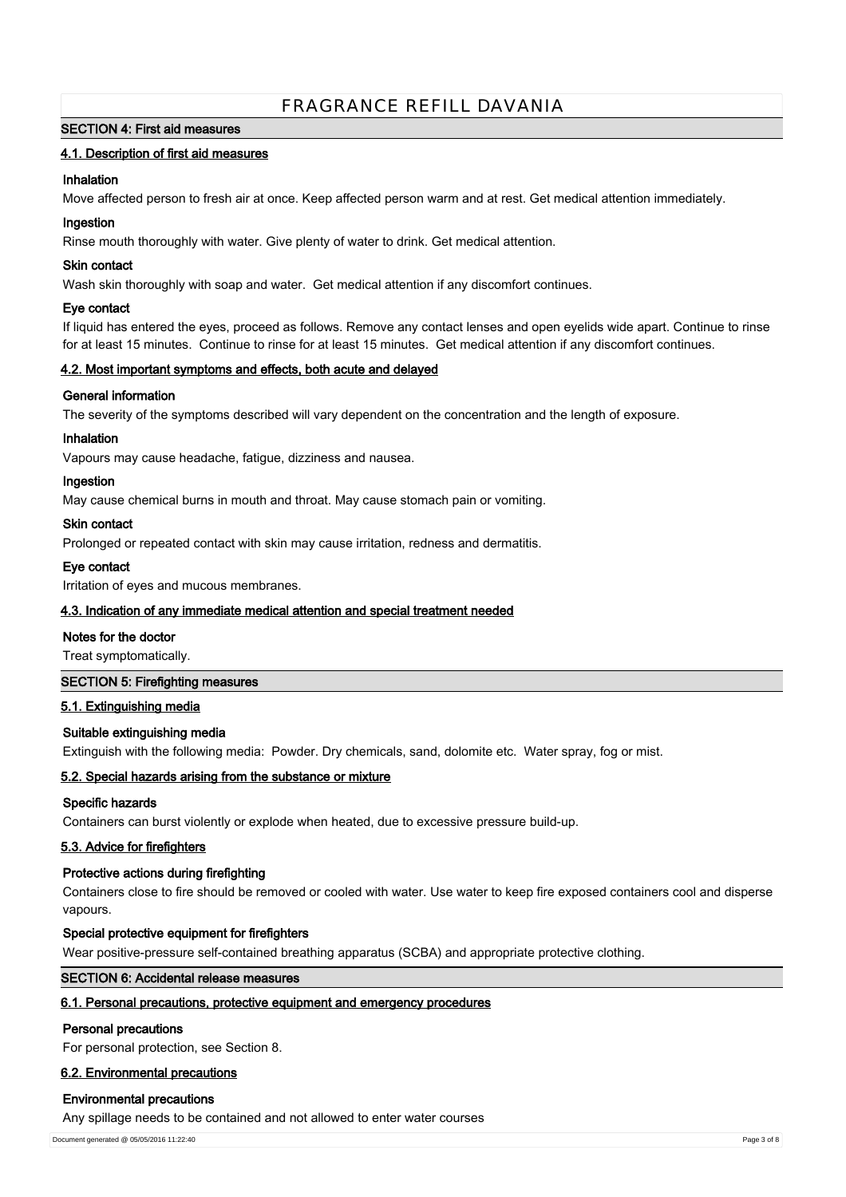# **SECTION 4: First aid measures**

# **4.1. Description of first aid measures**

## **Inhalation**

Move affected person to fresh air at once. Keep affected person warm and at rest. Get medical attention immediately.

### **Ingestion**

Rinse mouth thoroughly with water. Give plenty of water to drink. Get medical attention.

#### **Skin contact**

Wash skin thoroughly with soap and water. Get medical attention if any discomfort continues.

### **Eye contact**

If liquid has entered the eyes, proceed as follows. Remove any contact lenses and open eyelids wide apart. Continue to rinse for at least 15 minutes. Continue to rinse for at least 15 minutes. Get medical attention if any discomfort continues.

### **4.2. Most important symptoms and effects, both acute and delayed**

# **General information**

The severity of the symptoms described will vary dependent on the concentration and the length of exposure.

### **Inhalation**

Vapours may cause headache, fatigue, dizziness and nausea.

### **Ingestion**

May cause chemical burns in mouth and throat. May cause stomach pain or vomiting.

### **Skin contact**

Prolonged or repeated contact with skin may cause irritation, redness and dermatitis.

# **Eye contact**

Irritation of eyes and mucous membranes.

# **4.3. Indication of any immediate medical attention and special treatment needed**

#### **Notes for the doctor**

Treat symptomatically.

#### **SECTION 5: Firefighting measures**

# **5.1. Extinguishing media**

#### **Suitable extinguishing media**

Extinguish with the following media: Powder. Dry chemicals, sand, dolomite etc. Water spray, fog or mist.

# **5.2. Special hazards arising from the substance or mixture**

#### **Specific hazards**

Containers can burst violently or explode when heated, due to excessive pressure build-up.

#### **5.3. Advice for firefighters**

# **Protective actions during firefighting**

Containers close to fire should be removed or cooled with water. Use water to keep fire exposed containers cool and disperse vapours.

#### **Special protective equipment for firefighters**

Wear positive-pressure self-contained breathing apparatus (SCBA) and appropriate protective clothing.

### **SECTION 6: Accidental release measures**

# **6.1. Personal precautions, protective equipment and emergency procedures**

#### **Personal precautions**

For personal protection, see Section 8.

# **6.2. Environmental precautions**

# **Environmental precautions**

Any spillage needs to be contained and not allowed to enter water courses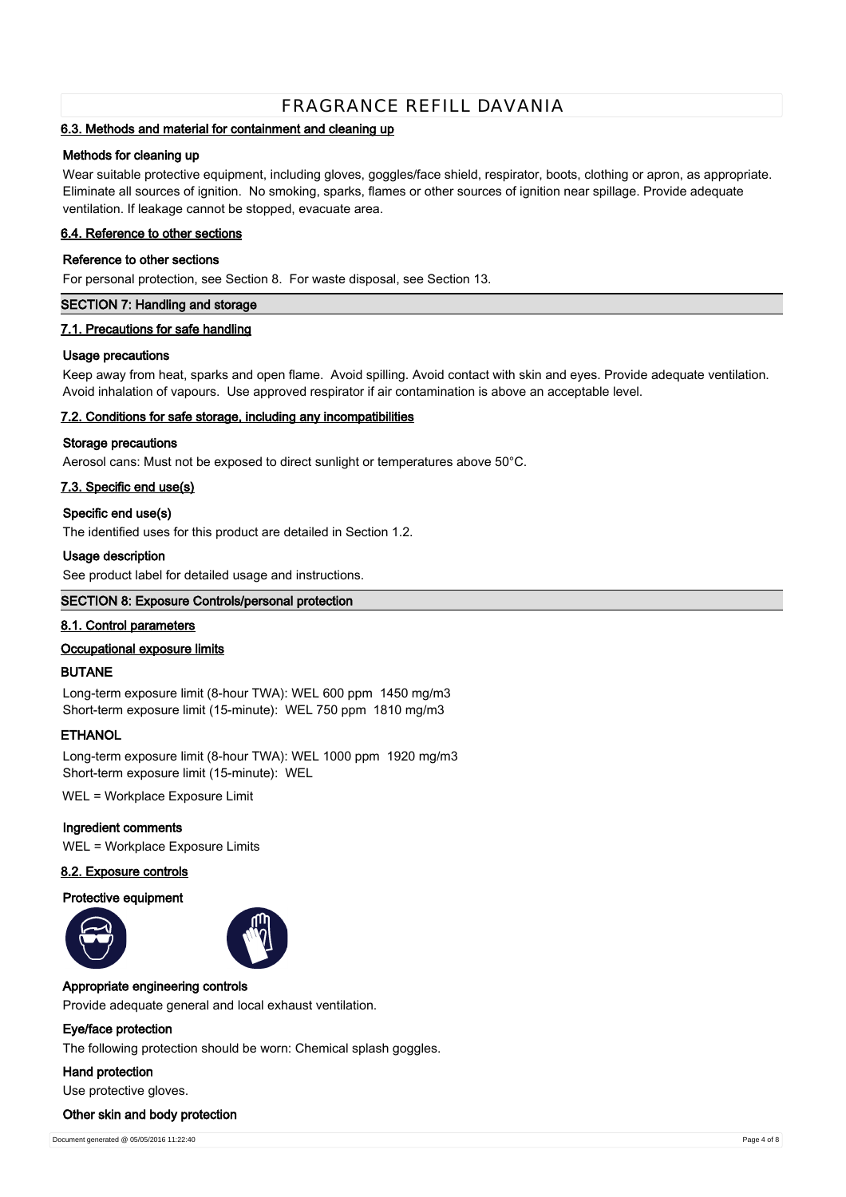# **6.3. Methods and material for containment and cleaning up**

#### **Methods for cleaning up**

Wear suitable protective equipment, including gloves, goggles/face shield, respirator, boots, clothing or apron, as appropriate. Eliminate all sources of ignition. No smoking, sparks, flames or other sources of ignition near spillage. Provide adequate ventilation. If leakage cannot be stopped, evacuate area.

# **6.4. Reference to other sections**

#### **Reference to other sections**

For personal protection, see Section 8. For waste disposal, see Section 13.

# **SECTION 7: Handling and storage**

### **7.1. Precautions for safe handling**

### **Usage precautions**

Keep away from heat, sparks and open flame. Avoid spilling. Avoid contact with skin and eyes. Provide adequate ventilation. Avoid inhalation of vapours. Use approved respirator if air contamination is above an acceptable level.

### **7.2. Conditions for safe storage, including any incompatibilities**

### **Storage precautions**

Aerosol cans: Must not be exposed to direct sunlight or temperatures above 50°C.

# **7.3. Specific end use(s)**

### **Specific end use(s)**

The identified uses for this product are detailed in Section 1.2.

### **Usage description**

See product label for detailed usage and instructions.

# **SECTION 8: Exposure Controls/personal protection**

#### **8.1. Control parameters**

#### **Occupational exposure limits**

#### **BUTANE**

Long-term exposure limit (8-hour TWA): WEL 600 ppm 1450 mg/m3 Short-term exposure limit (15-minute): WEL 750 ppm 1810 mg/m3

# **ETHANOL**

Long-term exposure limit (8-hour TWA): WEL 1000 ppm 1920 mg/m3 Short-term exposure limit (15-minute): WEL

WEL = Workplace Exposure Limit

#### **Ingredient comments**

WEL = Workplace Exposure Limits

# **8.2. Exposure controls**

#### **Protective equipment**





#### **Appropriate engineering controls**

Provide adequate general and local exhaust ventilation.

#### **Eye/face protection**

The following protection should be worn: Chemical splash goggles.

#### **Hand protection**

Use protective gloves.

### **Other skin and body protection**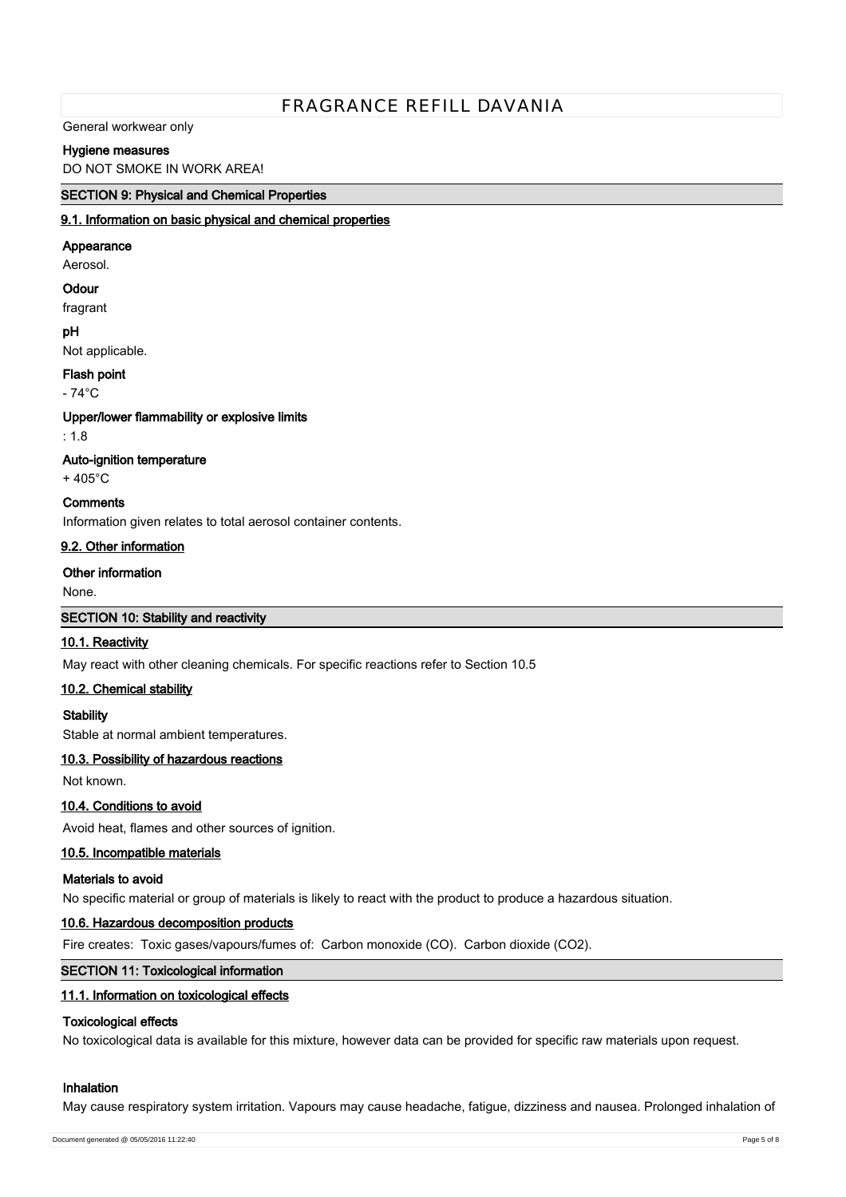General workwear only

# **Hygiene measures**

DO NOT SMOKE IN WORK AREA!

## **SECTION 9: Physical and Chemical Properties**

#### **9.1. Information on basic physical and chemical properties**

#### **Appearance**

Aerosol.

#### **Odour**

fragrant

#### **pH**

Not applicable.

### **Flash point**

 $-74^{\circ}$ C

### **Upper/lower flammability or explosive limits**

: 1.8

# **Auto-ignition temperature**

+ 405°C

# **Comments**

Information given relates to total aerosol container contents.

# **9.2. Other information**

### **Other information**

None.

#### **SECTION 10: Stability and reactivity**

# **10.1. Reactivity**

May react with other cleaning chemicals. For specific reactions refer to Section 10.5

# **10.2. Chemical stability**

**Stability**

Stable at normal ambient temperatures.

# **10.3. Possibility of hazardous reactions**

Not known.

# **10.4. Conditions to avoid**

Avoid heat, flames and other sources of ignition.

# **10.5. Incompatible materials**

# **Materials to avoid**

No specific material or group of materials is likely to react with the product to produce a hazardous situation.

#### **10.6. Hazardous decomposition products**

Fire creates: Toxic gases/vapours/fumes of: Carbon monoxide (CO). Carbon dioxide (CO2).

### **SECTION 11: Toxicological information**

#### **11.1. Information on toxicological effects**

# **Toxicological effects**

No toxicological data is available for this mixture, however data can be provided for specific raw materials upon request.

# **Inhalation**

May cause respiratory system irritation. Vapours may cause headache, fatigue, dizziness and nausea. Prolonged inhalation of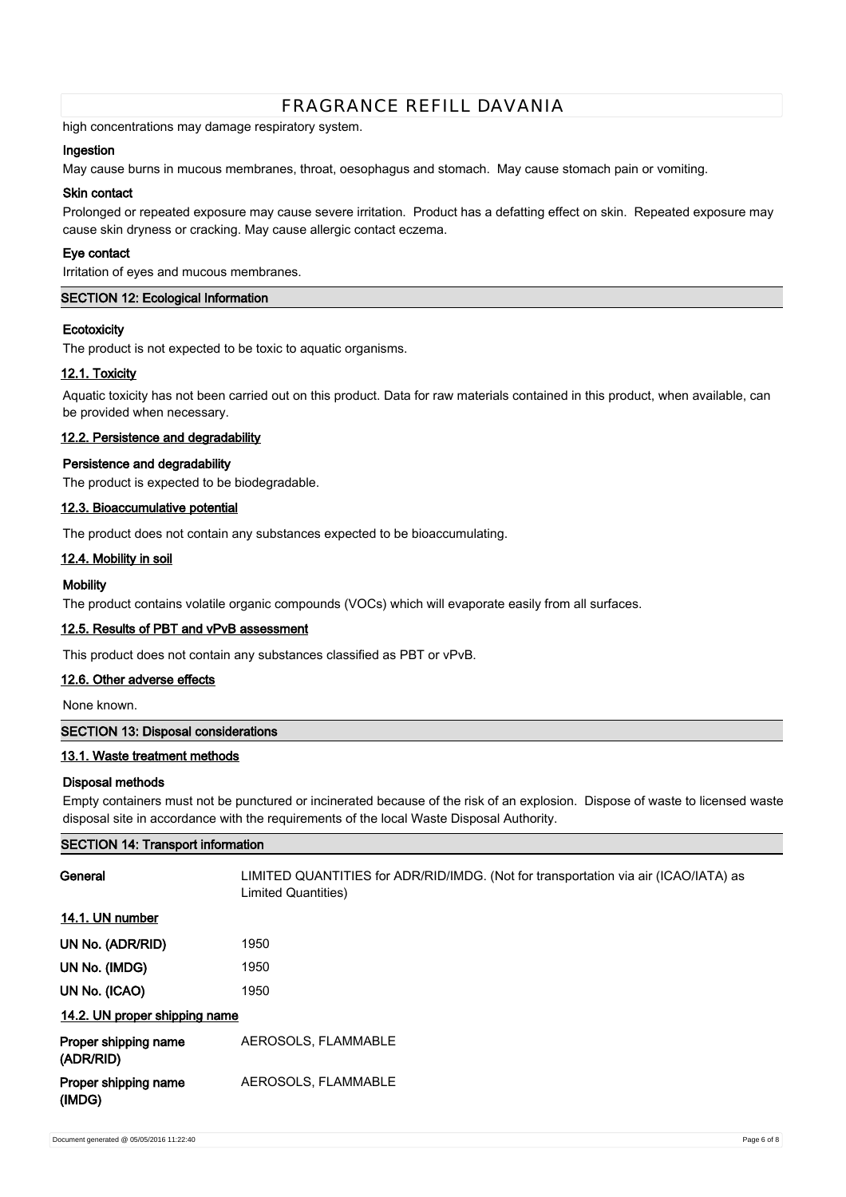high concentrations may damage respiratory system.

# **Ingestion**

May cause burns in mucous membranes, throat, oesophagus and stomach. May cause stomach pain or vomiting.

### **Skin contact**

Prolonged or repeated exposure may cause severe irritation. Product has a defatting effect on skin. Repeated exposure may cause skin dryness or cracking. May cause allergic contact eczema.

### **Eye contact**

Irritation of eyes and mucous membranes.

# **SECTION 12: Ecological Information**

### **Ecotoxicity**

The product is not expected to be toxic to aquatic organisms.

# **12.1. Toxicity**

Aquatic toxicity has not been carried out on this product. Data for raw materials contained in this product, when available, can be provided when necessary.

# **12.2. Persistence and degradability**

# **Persistence and degradability**

The product is expected to be biodegradable.

# **12.3. Bioaccumulative potential**

The product does not contain any substances expected to be bioaccumulating.

# **12.4. Mobility in soil**

# **Mobility**

The product contains volatile organic compounds (VOCs) which will evaporate easily from all surfaces.

# **12.5. Results of PBT and vPvB assessment**

This product does not contain any substances classified as PBT or vPvB.

# **12.6. Other adverse effects**

None known.

# **SECTION 13: Disposal considerations**

# **13.1. Waste treatment methods**

# **Disposal methods**

Empty containers must not be punctured or incinerated because of the risk of an explosion. Dispose of waste to licensed waste disposal site in accordance with the requirements of the local Waste Disposal Authority.

| <b>SECTION 14: Transport information</b> |                                                                                                            |  |
|------------------------------------------|------------------------------------------------------------------------------------------------------------|--|
| General                                  | LIMITED QUANTITIES for ADR/RID/IMDG. (Not for transportation via air (ICAO/IATA) as<br>Limited Quantities) |  |
| 14.1. UN number                          |                                                                                                            |  |
| UN No. (ADR/RID)                         | 1950                                                                                                       |  |
| UN No. (IMDG)                            | 1950                                                                                                       |  |
| UN No. (ICAO)                            | 1950                                                                                                       |  |
| 14.2. UN proper shipping name            |                                                                                                            |  |
| Proper shipping name<br>(ADR/RID)        | AEROSOLS, FLAMMABLE                                                                                        |  |
| Proper shipping name<br>(IMDG)           | AEROSOLS, FLAMMABLE                                                                                        |  |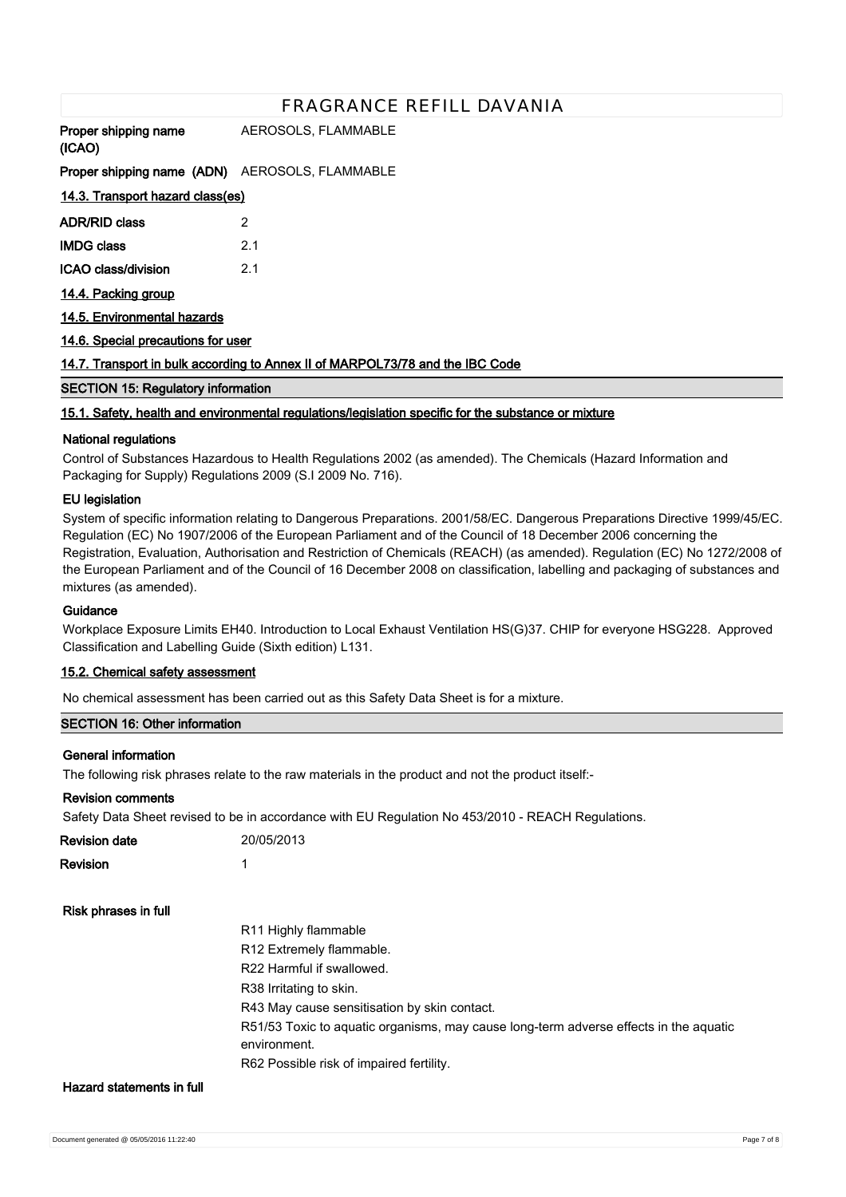| <b>Proper shipping name</b> AEROSOLS, FLAMMABLE<br>(ICAO) |                                                                                                      |
|-----------------------------------------------------------|------------------------------------------------------------------------------------------------------|
| <b>Proper shipping name (ADN)</b> AEROSOLS, FLAMMABLE     |                                                                                                      |
| 14.3. Transport hazard class(es)                          |                                                                                                      |
| ADR/RID class                                             | 2                                                                                                    |
| <b>IMDG class</b>                                         | 2.1                                                                                                  |
| ICAO class/division                                       | 2.1                                                                                                  |
| 14.4. Packing group                                       |                                                                                                      |
| 14.5. Environmental hazards                               |                                                                                                      |
| 14.6. Special precautions for user                        |                                                                                                      |
|                                                           | 14.7. Transport in bulk according to Annex II of MARPOL73/78 and the IBC Code                        |
| <b>SECTION 15: Regulatory information</b>                 |                                                                                                      |
|                                                           | 15.1. Safety, health and environmental regulations/legislation specific for the substance or mixture |
| <b>National regulations</b>                               |                                                                                                      |

Control of Substances Hazardous to Health Regulations 2002 (as amended). The Chemicals (Hazard Information and Packaging for Supply) Regulations 2009 (S.I 2009 No. 716).

# **EU legislation**

System of specific information relating to Dangerous Preparations. 2001/58/EC. Dangerous Preparations Directive 1999/45/EC. Regulation (EC) No 1907/2006 of the European Parliament and of the Council of 18 December 2006 concerning the Registration, Evaluation, Authorisation and Restriction of Chemicals (REACH) (as amended). Regulation (EC) No 1272/2008 of the European Parliament and of the Council of 16 December 2008 on classification, labelling and packaging of substances and mixtures (as amended).

#### **Guidance**

Workplace Exposure Limits EH40. Introduction to Local Exhaust Ventilation HS(G)37. CHIP for everyone HSG228. Approved Classification and Labelling Guide (Sixth edition) L131.

#### **15.2. Chemical safety assessment**

No chemical assessment has been carried out as this Safety Data Sheet is for a mixture.

#### **SECTION 16: Other information**

#### **General information**

The following risk phrases relate to the raw materials in the product and not the product itself:-

#### **Revision comments**

Safety Data Sheet revised to be in accordance with EU Regulation No 453/2010 - REACH Regulations.

| Revision date             | 20/05/2013                                                                                            |
|---------------------------|-------------------------------------------------------------------------------------------------------|
| <b>Revision</b>           | 1                                                                                                     |
| Risk phrases in full      |                                                                                                       |
|                           | R11 Highly flammable                                                                                  |
|                           | R <sub>12</sub> Extremely flammable.                                                                  |
|                           | R22 Harmful if swallowed.                                                                             |
|                           | R38 Irritating to skin.                                                                               |
|                           | R43 May cause sensitisation by skin contact.                                                          |
|                           | R51/53 Toxic to aquatic organisms, may cause long-term adverse effects in the aquatic<br>environment. |
|                           | R62 Possible risk of impaired fertility.                                                              |
| Hazard statements in full |                                                                                                       |